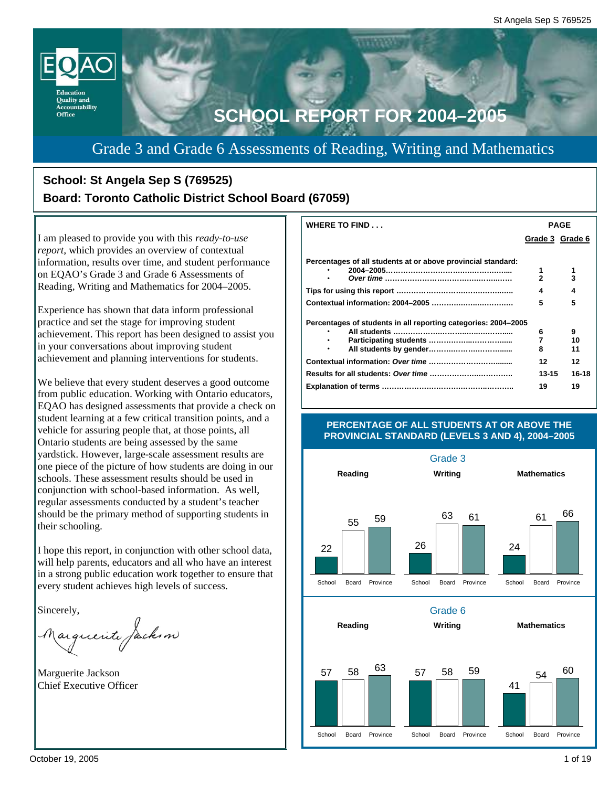

Grade 3 and Grade 6 Assessments of Reading, Writing and Mathematics

### **School: St Angela Sep S (769525) Board: Toronto Catholic District School Board (67059)**

I am pleased to provide you with this *ready-to-use report,* which provides an overview of contextual information, results over time, and student performance on EQAO's Grade 3 and Grade 6 Assessments of Reading, Writing and Mathematics for 2004–2005.

Experience has shown that data inform professional practice and set the stage for improving student achievement. This report has been designed to assist you in your conversations about improving student achievement and planning interventions for students.

We believe that every student deserves a good outcome from public education. Working with Ontario educators, EQAO has designed assessments that provide a check on student learning at a few critical transition points, and a vehicle for assuring people that, at those points, all Ontario students are being assessed by the same yardstick. However, large-scale assessment results are one piece of the picture of how students are doing in our schools. These assessment results should be used in conjunction with school-based information. As well, regular assessments conducted by a student's teacher should be the primary method of supporting students in their schooling.

I hope this report, in conjunction with other school data, will help parents, educators and all who have an interest in a strong public education work together to ensure that every student achieves high levels of success.

Sincerely,

arguerite Jackson

Marguerite Jackson Chief Executive Officer

| <b>WHERE TO FIND</b>                                           | <b>PAGE</b>         |       |  |
|----------------------------------------------------------------|---------------------|-------|--|
|                                                                | Grade 3 Grade 6     |       |  |
|                                                                |                     |       |  |
| Percentages of all students at or above provincial standard:   |                     |       |  |
|                                                                | 1<br>$\overline{2}$ | 3     |  |
|                                                                |                     |       |  |
|                                                                | 4                   | 4     |  |
|                                                                | 5                   | 5     |  |
| Percentages of students in all reporting categories: 2004–2005 |                     |       |  |
|                                                                | 6                   | 9     |  |
|                                                                | 7                   | 10    |  |
|                                                                | 8                   | 11    |  |
|                                                                | 12                  | 12    |  |
|                                                                | 13-15               | 16-18 |  |
|                                                                | 19                  | 19    |  |
|                                                                |                     |       |  |



#### **PERCENTAGE OF ALL STUDENTS AT OR ABOVE THE PROVINCIAL STANDARD (LEVELS 3 AND 4), 2004–2005**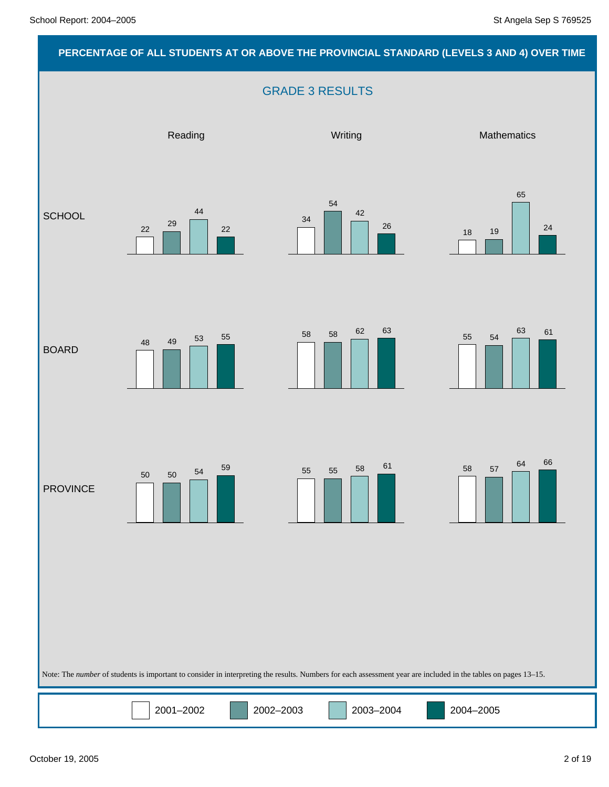# **PERCENTAGE OF ALL STUDENTS AT OR ABOVE THE PROVINCIAL STANDARD (LEVELS 3 AND 4) OVER TIME** GRADE 3 RESULTS Note: The *number* of students is important to consider in interpreting the results. Numbers for each assessment year are included in the tables on pages 13–15. 2001–2002 2002–2003 2003–2004 2004–2005 Reading Network and Mathematics Mathematics Mathematics Mathematics **SCHOOL** BOARD PROVINCE 18 19 65 24 34 54 42 22  $\frac{29}{22}$  22  $\frac{34}{2}$  26 44 22 55 54  $58$   $58$   $62$   $63$   $55$   $54$   $63$   $61$ 48 49 53 <sup>55</sup> 58 57 64 66 <sup>55</sup> <sup>55</sup> <sup>58</sup> <sup>61</sup> 50 50 54 59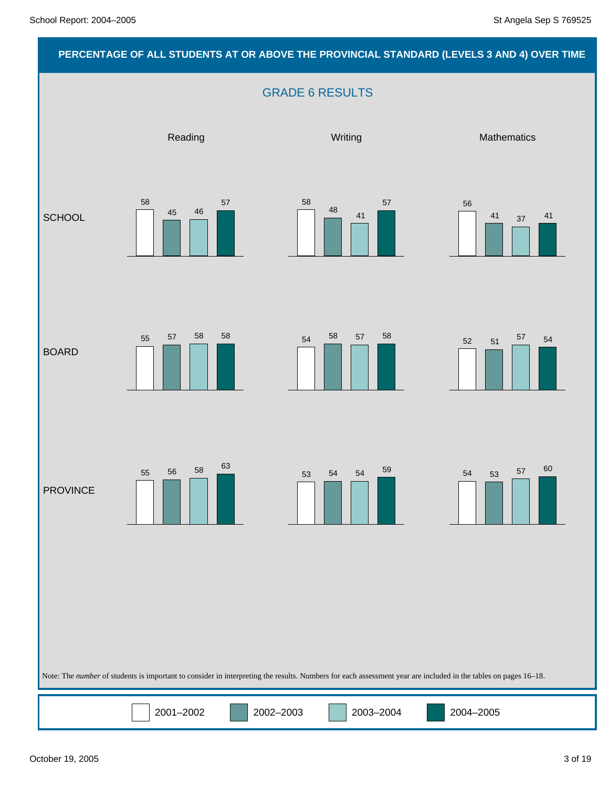#### **PERCENTAGE OF ALL STUDENTS AT OR ABOVE THE PROVINCIAL STANDARD (LEVELS 3 AND 4) OVER TIME**

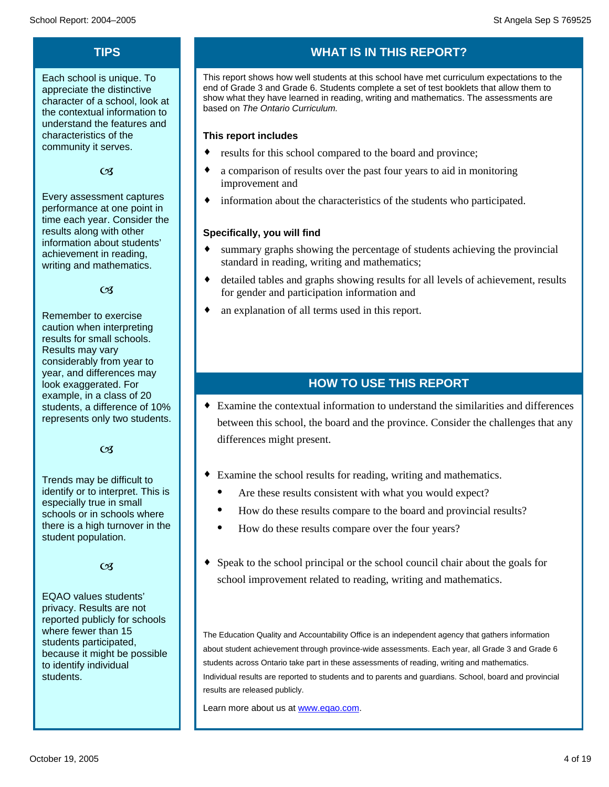### **TIPS**

Each school is unique. To appreciate the distinctive character of a school, look at the contextual information to understand the features and characteristics of the community it serves.

 $CZ$ 

Every assessment captures performance at one point in time each year. Consider the results along with other information about students' achievement in reading, writing and mathematics.

 $\mathfrak{G}$ 

Remember to exercise caution when interpreting results for small schools. Results may vary considerably from year to year, and differences may look exaggerated. For example, in a class of 20 students, a difference of 10% represents only two students.

 $\alpha$ 

Trends may be difficult to identify or to interpret. This is especially true in small schools or in schools where there is a high turnover in the student population.

 $C<sub>3</sub>$ 

EQAO values students' privacy. Results are not reported publicly for schools where fewer than 15 students participated, because it might be possible to identify individual students.

# **WHAT IS IN THIS REPORT?**

This report shows how well students at this school have met curriculum expectations to the end of Grade 3 and Grade 6. Students complete a set of test booklets that allow them to show what they have learned in reading, writing and mathematics. The assessments are based on *The Ontario Curriculum.*

#### **This report includes**

- results for this school compared to the board and province;
- $\bullet$  a comparison of results over the past four years to aid in monitoring improvement and
- $\bullet$  information about the characteristics of the students who participated.

#### **Specifically, you will find**

- summary graphs showing the percentage of students achieving the provincial standard in reading, writing and mathematics;
- detailed tables and graphs showing results for all levels of achievement, results for gender and participation information and
- $\bullet$  an explanation of all terms used in this report.

### **HOW TO USE THIS REPORT**

 $\bullet$  Examine the contextual information to understand the similarities and differences between this school, the board and the province. Consider the challenges that any differences might present.

- Examine the school results for reading, writing and mathematics.
	- Are these results consistent with what you would expect?
	- · How do these results compare to the board and provincial results?
	- How do these results compare over the four years?
- Speak to the school principal or the school council chair about the goals for school improvement related to reading, writing and mathematics.

The Education Quality and Accountability Office is an independent agency that gathers information about student achievement through province-wide assessments. Each year, all Grade 3 and Grade 6 students across Ontario take part in these assessments of reading, writing and mathematics. Individual results are reported to students and to parents and guardians. School, board and provincial results are released publicly.

Learn more about us at www.eqao.com.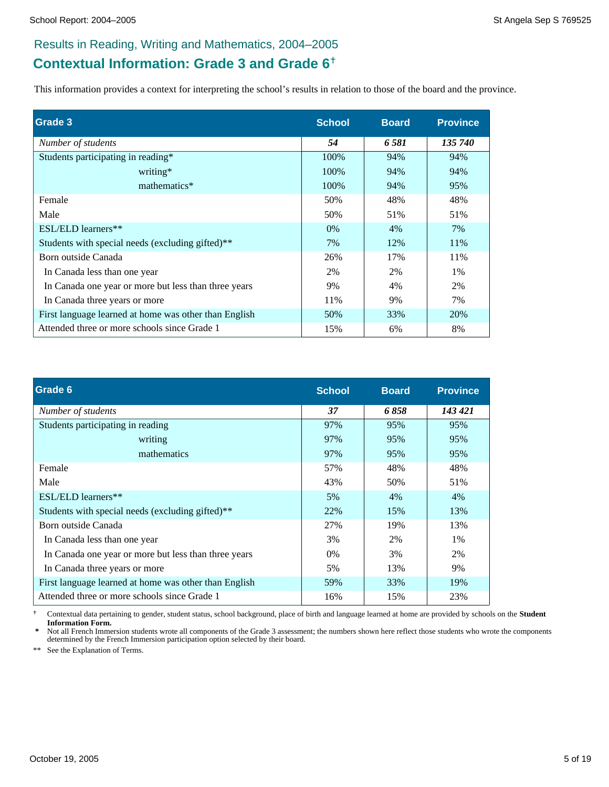## **Contextual Information: Grade 3 and Grade 6**

This information provides a context for interpreting the school's results in relation to those of the board and the province.

| <b>Grade 3</b>                                        | <b>School</b> | <b>Board</b> | <b>Province</b> |
|-------------------------------------------------------|---------------|--------------|-----------------|
| Number of students                                    | 54            | 6.581        | 135 740         |
| Students participating in reading*                    | 100%          | 94%          | 94%             |
| writing*                                              | 100%          | 94%          | 94%             |
| mathematics*                                          | 100%          | 94%          | 95%             |
| Female                                                | 50%           | 48%          | 48%             |
| Male                                                  | 50%           | 51%          | 51%             |
| ESL/ELD learners**                                    | $0\%$         | 4%           | 7%              |
| Students with special needs (excluding gifted)**      | 7%            | 12%          | 11%             |
| Born outside Canada                                   | 26%           | 17%          | 11%             |
| In Canada less than one year                          | 2%            | 2%           | $1\%$           |
| In Canada one year or more but less than three years  | 9%            | 4%           | 2%              |
| In Canada three years or more                         | 11%           | 9%           | 7%              |
| First language learned at home was other than English | 50%           | 33%          | 20%             |
| Attended three or more schools since Grade 1          | 15%           | 6%           | 8%              |

| Grade 6                                               | <b>School</b> | <b>Board</b> | <b>Province</b> |
|-------------------------------------------------------|---------------|--------------|-----------------|
| Number of students                                    | 37            | 6858         | 143 421         |
| Students participating in reading                     | 97%           | 95%          | 95%             |
| writing                                               | 97%           | 95%          | 95%             |
| mathematics                                           | 97%           | 95%          | 95%             |
| Female                                                | 57%           | 48%          | 48%             |
| Male                                                  | 43%           | 50%          | 51%             |
| $ESL/ELD$ learners**                                  | 5%            | 4%           | 4%              |
| Students with special needs (excluding gifted)**      | 22%           | 15%          | 13%             |
| Born outside Canada                                   | 27%           | 19%          | 13%             |
| In Canada less than one year                          | 3%            | 2%           | $1\%$           |
| In Canada one year or more but less than three years  | $0\%$         | 3%           | 2%              |
| In Canada three years or more                         | 5%            | 13%          | 9%              |
| First language learned at home was other than English | 59%           | 33%          | 19%             |
| Attended three or more schools since Grade 1          | 16%           | 15%          | 23%             |

 Contextual data pertaining to gender, student status, school background, place of birth and language learned at home are provided by schools on the **Student Information Form.**

Not all French Immersion students wrote all components of the Grade 3 assessment; the numbers shown here reflect those students who wrote the components determined by the French Immersion participation option selected by their board.

\*\* See the Explanation of Terms.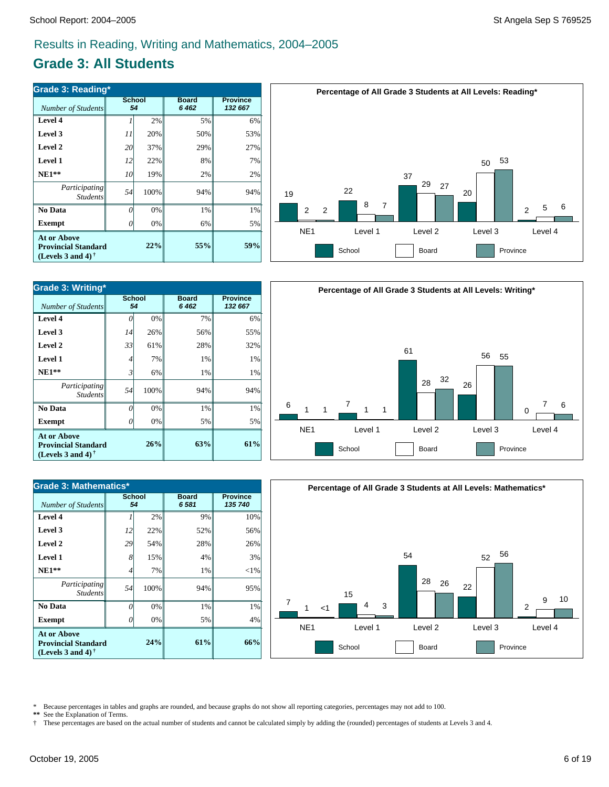### **Grade 3: All Students**

| <b>Grade 3: Reading*</b>                                                          |    |                     |                      |                            |  |  |  |  |  |
|-----------------------------------------------------------------------------------|----|---------------------|----------------------|----------------------------|--|--|--|--|--|
| <b>Number of Students</b>                                                         |    | <b>School</b><br>54 | <b>Board</b><br>6462 | <b>Province</b><br>132 667 |  |  |  |  |  |
| Level 4                                                                           |    | 2%                  | 5%                   | 6%                         |  |  |  |  |  |
| Level 3                                                                           | 11 | 20%                 | 50%                  | 53%                        |  |  |  |  |  |
| Level 2                                                                           | 20 | 37%                 | 29%                  | 27%                        |  |  |  |  |  |
| Level 1                                                                           | 12 | 22%                 | 8%                   | 7%                         |  |  |  |  |  |
| $NE1**$                                                                           | 10 | 19%                 | 2%                   | 2%                         |  |  |  |  |  |
| <i>Participating</i><br><b>Students</b>                                           | 54 | 100%                | 94%                  | 94%                        |  |  |  |  |  |
| No Data                                                                           | 0  | 0%                  | 1%                   | 1%                         |  |  |  |  |  |
| <b>Exempt</b>                                                                     | 0  | 0%                  | 6%                   | 5%                         |  |  |  |  |  |
| <b>At or Above</b><br><b>Provincial Standard</b><br>(Levels 3 and 4) $^{\dagger}$ |    | 22%                 | 55%                  | 59%                        |  |  |  |  |  |



| <b>Grade 3: Writing*</b>                                                |    |              |                         |                            |  |  |  |  |  |
|-------------------------------------------------------------------------|----|--------------|-------------------------|----------------------------|--|--|--|--|--|
| Number of Students                                                      |    | School<br>54 | <b>Board</b><br>6 4 6 2 | <b>Province</b><br>132 667 |  |  |  |  |  |
| Level 4                                                                 |    | 0%           | 7%                      | 6%                         |  |  |  |  |  |
| Level 3                                                                 | 14 | 26%          | 56%                     | 55%                        |  |  |  |  |  |
| Level 2                                                                 | 33 | 61%          | 28%                     | 32%                        |  |  |  |  |  |
| Level 1                                                                 | 4  | 7%           | 1%                      | 1%                         |  |  |  |  |  |
| $NE1**$                                                                 | 3  | 6%           | 1%                      | 1%                         |  |  |  |  |  |
| Participating<br><b>Students</b>                                        | 54 | 100%         | 94%                     | 94%                        |  |  |  |  |  |
| No Data                                                                 | Ω  | 0%           | 1%                      | 1%                         |  |  |  |  |  |
| Exempt                                                                  |    | 0%           | 5%                      | 5%                         |  |  |  |  |  |
| At or Above<br><b>Provincial Standard</b><br>(Levels 3 and 4) $\dagger$ |    | 63%          | 61%                     |                            |  |  |  |  |  |



**Percentage of All Grade 3 Students at All Levels: Writing\***

| <b>Brade 3: Mathematics*</b>                                                   |              |         |                      |                            |   |                 | Percentage of All Grade 3 Students at All Levels: Mathematics* |   |                  |    |         |          |         |
|--------------------------------------------------------------------------------|--------------|---------|----------------------|----------------------------|---|-----------------|----------------------------------------------------------------|---|------------------|----|---------|----------|---------|
| Number of Students                                                             | School<br>54 |         | <b>Board</b><br>6581 | <b>Province</b><br>135 740 |   |                 |                                                                |   |                  |    |         |          |         |
| Level 4                                                                        |              | 2%      | 9%                   | 10%                        |   |                 |                                                                |   |                  |    |         |          |         |
| Level 3                                                                        | 12           | 22%     | 52%                  | 56%                        |   |                 |                                                                |   |                  |    |         |          |         |
| Level 2                                                                        | 29           | 54%     | 28%                  | 26%                        |   |                 |                                                                |   |                  |    |         |          |         |
| Level 1                                                                        | 8            | 15%     | 4%                   | 3%                         |   |                 |                                                                |   | 54               |    | 52      | 56       |         |
| $NE1**$                                                                        |              | 7%      | 1%                   | ${<}1\%$                   |   |                 |                                                                |   |                  |    |         |          |         |
| Participating<br><i>Students</i>                                               | 54           | $100\%$ | 94%                  | 95%                        |   |                 | 15                                                             |   | 28               | 26 | 22      |          | 9       |
| No Data                                                                        |              | $0\%$   | 1%                   | 1%                         | 7 | <1              | 4                                                              | 3 |                  |    |         |          | 2       |
| <b>Exempt</b>                                                                  |              | $0\%$   | 5%                   | 4%                         |   |                 |                                                                |   |                  |    |         |          |         |
| <b>At or Above</b><br><b>Provincial Standard</b><br>(Levels 3 and 4) $\dagger$ |              | 24%     | 61%                  | 66%                        |   | NE <sub>1</sub> | Level 1<br>School                                              |   | Level 2<br>Board |    | Level 3 | Province | Level 4 |

\* Because percentages in tables and graphs are rounded, and because graphs do not show all reporting categories, percentages may not add to 100.<br>\*\* See the Explanation of Terms.

See the Explanation of Terms.

† These percentages are based on the actual number of students and cannot be calculated simply by adding the (rounded) percentages of students at Levels 3 and 4.

**Grade 3: Math** 

9 10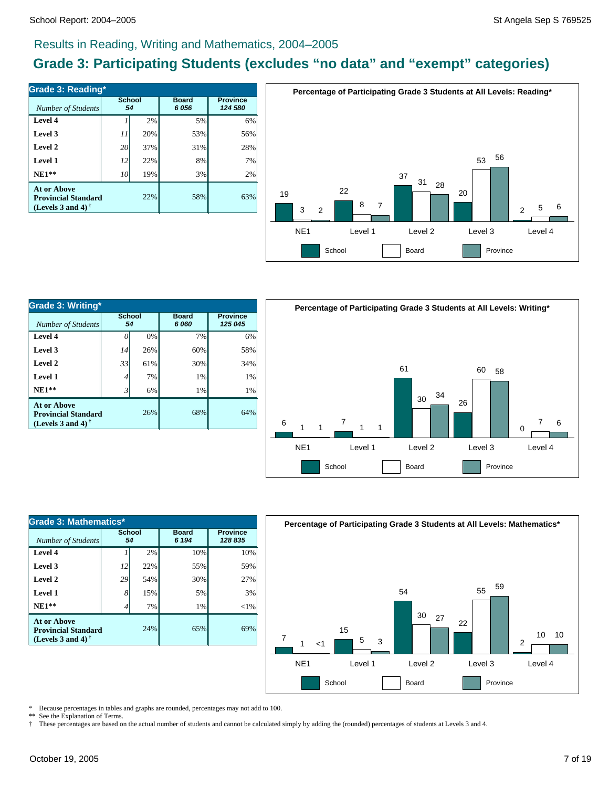# **Grade 3: Participating Students (excludes "no data" and "exempt" categories)**

| Grade 3: Reading*                                                                 |                     |     |                        |                            |  |  |  |  |  |
|-----------------------------------------------------------------------------------|---------------------|-----|------------------------|----------------------------|--|--|--|--|--|
| Number of Students                                                                | <b>School</b><br>54 |     | <b>Board</b><br>6 0 56 | <b>Province</b><br>124 580 |  |  |  |  |  |
| Level 4                                                                           |                     | 2%  | 5%                     | 6%                         |  |  |  |  |  |
| Level 3                                                                           | 11                  | 20% | 53%                    | 56%                        |  |  |  |  |  |
| Level 2                                                                           | 20                  | 37% | 31%                    | 28%                        |  |  |  |  |  |
| Level 1                                                                           | 12                  | 22% | 8%                     | 7%                         |  |  |  |  |  |
| $NE1**$                                                                           | 10 <sup> </sup>     | 19% | 3%                     | 2%                         |  |  |  |  |  |
| <b>At or Above</b><br><b>Provincial Standard</b><br>(Levels 3 and 4) $^{\dagger}$ |                     | 22% | 58%                    | 63%                        |  |  |  |  |  |



| <b>Grade 3: Writing*</b>                                                       |                     |     |                      |                            |  |  |  |  |  |
|--------------------------------------------------------------------------------|---------------------|-----|----------------------|----------------------------|--|--|--|--|--|
| Number of Students                                                             | <b>School</b><br>54 |     | <b>Board</b><br>6060 | <b>Province</b><br>125 045 |  |  |  |  |  |
| Level 4                                                                        |                     | 0%  | 7%                   | 6%                         |  |  |  |  |  |
| Level 3                                                                        | 14                  | 26% | 60%                  | 58%                        |  |  |  |  |  |
| Level 2                                                                        | 33                  | 61% | 30%                  | 34%                        |  |  |  |  |  |
| Level 1                                                                        | 4                   | 7%  | 1%                   | $1\%$                      |  |  |  |  |  |
| $NE1**$                                                                        | 3                   | 6%  | 1%                   | 1%                         |  |  |  |  |  |
| <b>At or Above</b><br><b>Provincial Standard</b><br>(Levels 3 and 4) $\dagger$ | 26%                 | 68% | 64%                  |                            |  |  |  |  |  |



| Grade 3: Mathematics*                                                          |             |                                                |     |                            |  |  |  |  |  |  |
|--------------------------------------------------------------------------------|-------------|------------------------------------------------|-----|----------------------------|--|--|--|--|--|--|
| Number of Students                                                             |             | <b>School</b><br><b>Board</b><br>6 1 9 4<br>54 |     | <b>Province</b><br>128 835 |  |  |  |  |  |  |
| Level 4                                                                        |             | 2%                                             | 10% | 10%                        |  |  |  |  |  |  |
| Level 3                                                                        | 12          | 22%                                            | 55% | 59%                        |  |  |  |  |  |  |
| Level 2                                                                        | 29          | 54%                                            | 30% | 27%                        |  |  |  |  |  |  |
| Level 1                                                                        | $8^{\circ}$ | 15%                                            | 5%  | 3%                         |  |  |  |  |  |  |
| $NE1**$                                                                        | 4           | 7%                                             | 1%  | $<$ 1%                     |  |  |  |  |  |  |
| <b>At or Above</b><br><b>Provincial Standard</b><br>(Levels 3 and 4) $\dagger$ | 24%         | 65%                                            | 69% |                            |  |  |  |  |  |  |



Because percentages in tables and graphs are rounded, percentages may not add to 100.

**\*\*** See the Explanation of Terms.

† These percentages are based on the actual number of students and cannot be calculated simply by adding the (rounded) percentages of students at Levels 3 and 4.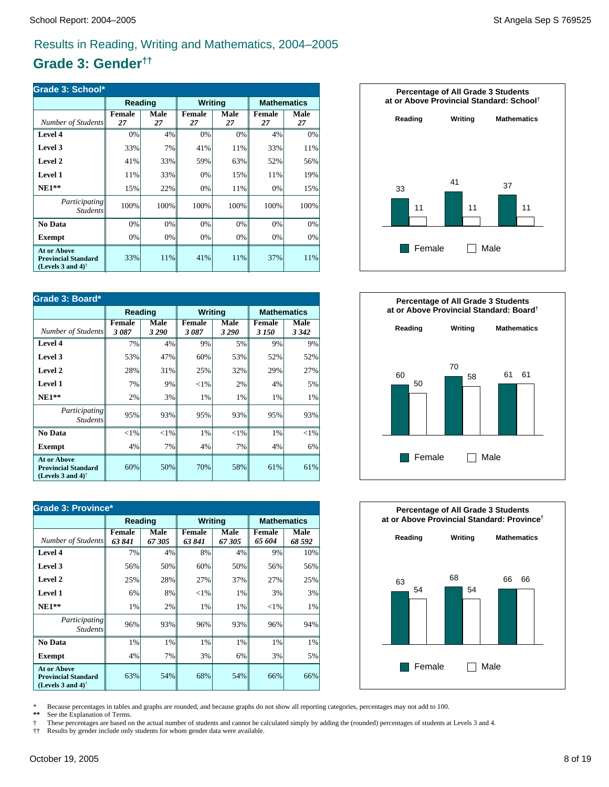### **Grade 3: Gender††**

| Grade 3: School*                                                                                     |              |            |                     |            |                    |            |  |  |  |
|------------------------------------------------------------------------------------------------------|--------------|------------|---------------------|------------|--------------------|------------|--|--|--|
|                                                                                                      | Reading      |            | <b>Writing</b>      |            | <b>Mathematics</b> |            |  |  |  |
| Number of Students                                                                                   | Female<br>27 | Male<br>27 | <b>Female</b><br>27 | Male<br>27 | Female<br>27       | Male<br>27 |  |  |  |
| Level 4                                                                                              | 0%           | 4%         | 0%                  | 0%         | 4%                 | 0%         |  |  |  |
| Level 3                                                                                              | 33%          | 7%         | 41%                 | 11%        | 33%                | 11%        |  |  |  |
| Level 2                                                                                              | 41%          | 33%        | 59%                 | 63%        | 52%                | 56%        |  |  |  |
| Level 1                                                                                              | 11%          | 33%        | 0%                  | 15%        | 11%                | 19%        |  |  |  |
| $NE1**$                                                                                              | 15%          | 22%        | 0%                  | 11%        | 0%                 | 15%        |  |  |  |
| <i>Participating</i><br><i>Students</i>                                                              | 100%         | 100%       | 100%                | 100%       | 100%               | 100%       |  |  |  |
| No Data                                                                                              | 0%           | 0%         | 0%                  | 0%         | 0%                 | 0%         |  |  |  |
| <b>Exempt</b>                                                                                        | 0%           | 0%         | 0%                  | 0%         | 0%                 | 0%         |  |  |  |
| <b>At or Above</b><br><b>Provincial Standard</b><br>(Levels 3 and 4) <sup><math>\dagger</math></sup> | 33%          | 11%        | 41%                 | 11%        | 37%                | 11%        |  |  |  |

| Grade 3: Board*                                                                |                       |                 |                       |                 |                    |                 |  |  |  |
|--------------------------------------------------------------------------------|-----------------------|-----------------|-----------------------|-----------------|--------------------|-----------------|--|--|--|
|                                                                                | Reading               |                 | <b>Writing</b>        |                 | <b>Mathematics</b> |                 |  |  |  |
| Number of Students                                                             | <b>Female</b><br>3087 | Male<br>3 2 9 0 | <b>Female</b><br>3087 | Male<br>3 2 9 0 | Female<br>3 1 5 0  | Male<br>3 3 4 2 |  |  |  |
| Level 4                                                                        | 7%                    | 4%              | 9%                    | 5%              | 9%                 | 9%              |  |  |  |
| Level 3                                                                        | 53%                   | 47%             | 60%                   | 53%             | 52%                | 52%             |  |  |  |
| Level 2                                                                        | 28%                   | 31%             | 25%                   | 32%             | 29%                | 27%             |  |  |  |
| Level 1                                                                        | 7%                    | 9%              | ${<}1\%$              | 2%              | 4%                 | 5%              |  |  |  |
| $NE1**$                                                                        | 2%                    | 3%              | 1%                    | 1%              | 1%                 | 1%              |  |  |  |
| Participating<br><b>Students</b>                                               | 95%                   | 93%             | 95%                   | 93%             | 95%                | 93%             |  |  |  |
| No Data                                                                        | $<$ 1%                | $< 1\%$         | 1%                    | $<$ 1%          | 1%                 | $<$ 1%          |  |  |  |
| <b>Exempt</b>                                                                  | 4%                    | 7%              | 4%                    | 7%              | 4%                 | 6%              |  |  |  |
| <b>At or Above</b><br><b>Provincial Standard</b><br>(Levels 3 and 4) $\dagger$ | 60%                   | 50%             | 70%                   | 58%             | 61%                | 61%             |  |  |  |

| <b>Grade 3: Province*</b>                                                      |                         |               |                         |                      |                         |                |  |  |  |
|--------------------------------------------------------------------------------|-------------------------|---------------|-------------------------|----------------------|-------------------------|----------------|--|--|--|
|                                                                                | Reading                 |               | <b>Writing</b>          |                      | <b>Mathematics</b>      |                |  |  |  |
| Number of Students                                                             | <b>Female</b><br>63 841 | Male<br>67305 | <b>Female</b><br>63 841 | <b>Male</b><br>67305 | <b>Female</b><br>65 604 | Male<br>68 592 |  |  |  |
| Level 4                                                                        | 7%                      | 4%            | 8%                      | 4%                   | 9%                      | 10%            |  |  |  |
| Level 3                                                                        | 56%                     | 50%           | 60%                     | 50%                  | 56%                     | 56%            |  |  |  |
| Level 2                                                                        | 25%                     | 28%           | 27%                     | 37%                  | 27%                     | 25%            |  |  |  |
| <b>Level 1</b>                                                                 | 6%                      | 8%            | ${<}1\%$                | 1%                   | 3%                      | 3%             |  |  |  |
| $NE1**$                                                                        | 1%                      | 2%            | 1%                      | 1%                   | ${<}1\%$                | 1%             |  |  |  |
| <i>Participating</i><br><b>Students</b>                                        | 96%                     | 93%           | 96%                     | 93%                  | 96%                     | 94%            |  |  |  |
| No Data                                                                        | 1%                      | 1%            | 1%                      | 1%                   | 1%                      | 1%             |  |  |  |
| <b>Exempt</b>                                                                  | 4%                      | 7%            | 3%                      | 6%                   | 3%                      | 5%             |  |  |  |
| <b>At or Above</b><br><b>Provincial Standard</b><br>(Levels 3 and 4) $\dagger$ | 63%                     | 54%           | 68%                     | 54%                  | 66%                     | 66%            |  |  |  |







\* Because percentages in tables and graphs are rounded, and because graphs do not show all reporting categories, percentages may not add to 100.<br>\*\* See the Explanation of Terms.

See the Explanation of Terms.

† These percentages are based on the actual number of students and cannot be calculated simply by adding the (rounded) percentages of students at Levels 3 and 4.

†† Results by gender include only students for whom gender data were available.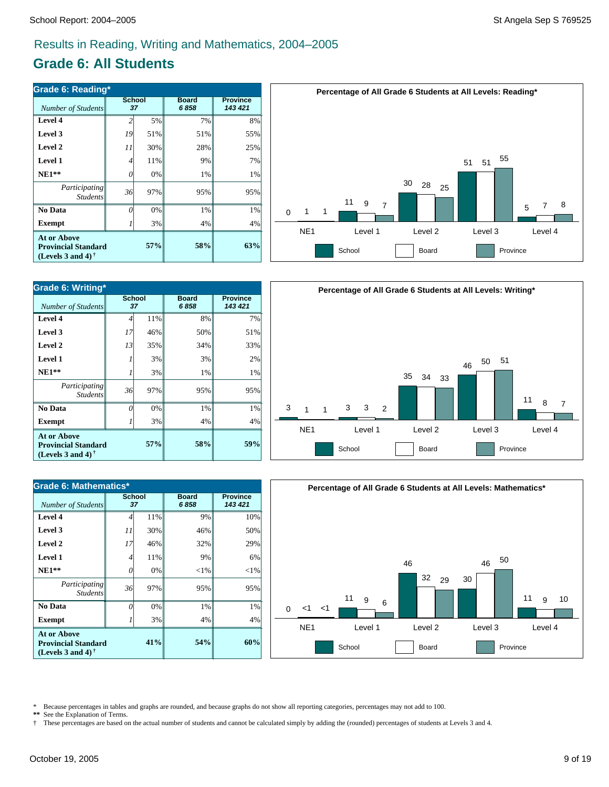# **Grade 6: All Students**

| <b>Grade 6: Reading*</b>                                                          |                     |     |                      |                            |  |  |  |  |
|-----------------------------------------------------------------------------------|---------------------|-----|----------------------|----------------------------|--|--|--|--|
| Number of Students                                                                | <b>School</b><br>37 |     | <b>Board</b><br>6858 | <b>Province</b><br>143 421 |  |  |  |  |
| Level 4                                                                           | 2                   | 5%  | 7%                   | 8%                         |  |  |  |  |
| Level 3                                                                           | 19                  | 51% | 51%                  | 55%                        |  |  |  |  |
| Level 2                                                                           | 11                  | 30% | 28%                  | 25%                        |  |  |  |  |
| Level 1                                                                           | 4                   | 11% | 9%                   | 7%                         |  |  |  |  |
| $NE1**$                                                                           | 0                   | 0%  | 1%                   | 1%                         |  |  |  |  |
| Participating<br><b>Students</b>                                                  | 36                  | 97% | 95%                  | 95%                        |  |  |  |  |
| No Data                                                                           | 0                   | 0%  | 1%                   | 1%                         |  |  |  |  |
| <b>Exempt</b>                                                                     |                     | 3%  | 4%                   | 4%                         |  |  |  |  |
| <b>At or Above</b><br><b>Provincial Standard</b><br>(Levels 3 and 4) $^{\dagger}$ | 57%                 | 58% | 63%                  |                            |  |  |  |  |



**Percentage of All Grade 6 Students at All Levels: Writing\***

| Number of Students                                                             | <b>School</b><br>37 |     | <b>Board</b><br>6858 | <b>Province</b><br>143 421 |  |
|--------------------------------------------------------------------------------|---------------------|-----|----------------------|----------------------------|--|
| Level 4                                                                        | 4                   | 11% | 8%                   | 7%                         |  |
| Level 3                                                                        | 17                  | 46% | 50%                  | 51%                        |  |
| Level 2                                                                        | 13                  | 35% | 34%                  | 33%                        |  |
| Level 1                                                                        |                     | 3%  | 3%                   | 2%                         |  |
| $NE1**$                                                                        |                     | 3%  | 1%                   | 1%                         |  |
| Participating<br><b>Students</b>                                               | 36                  | 97% | 95%                  | 95%                        |  |
| No Data                                                                        | n                   | 0%  | 1%                   | 1%                         |  |
| <b>Exempt</b>                                                                  |                     | 3%  | 4%                   | 4%                         |  |
| At or Above<br>57%<br><b>Provincial Standard</b><br>(Levels 3 and 4) $\bar{ }$ |                     |     | 58%                  | 59%                        |  |





| Grade 6: Mathematics*                                                          |                |                     |                      |                            |  |  |  |
|--------------------------------------------------------------------------------|----------------|---------------------|----------------------|----------------------------|--|--|--|
| Number of Students                                                             |                | <b>School</b><br>37 | <b>Board</b><br>6858 | <b>Province</b><br>143 421 |  |  |  |
| Level 4                                                                        | $\overline{4}$ | 11%                 | 9%                   | 10%                        |  |  |  |
| Level 3                                                                        | 11             | 30%                 | 46%                  | 50%                        |  |  |  |
| Level 2                                                                        | 17             | 46%                 | 32%                  | 29%                        |  |  |  |
| <b>Level 1</b>                                                                 | $\overline{4}$ | 11%                 | 9%                   | 6%                         |  |  |  |
| $NE1**$                                                                        | 0              | 0%                  | ${<}1\%$             | ${<}1\%$                   |  |  |  |
| Participating<br><b>Students</b>                                               | 36             | 97%                 | 95%                  | 95%                        |  |  |  |
| No Data                                                                        | 0              | 0%                  | 1%                   | 1%                         |  |  |  |
| <b>Exempt</b>                                                                  |                | 3%                  | 4%                   | 4%                         |  |  |  |
| <b>At or Above</b><br><b>Provincial Standard</b><br>(Levels 3 and 4) $\dagger$ |                | 41%                 | 54%                  | 60%                        |  |  |  |

\* Because percentages in tables and graphs are rounded, and because graphs do not show all reporting categories, percentages may not add to 100. **\*\*** See the Explanation of Terms.

† These percentages are based on the actual number of students and cannot be calculated simply by adding the (rounded) percentages of students at Levels 3 and 4.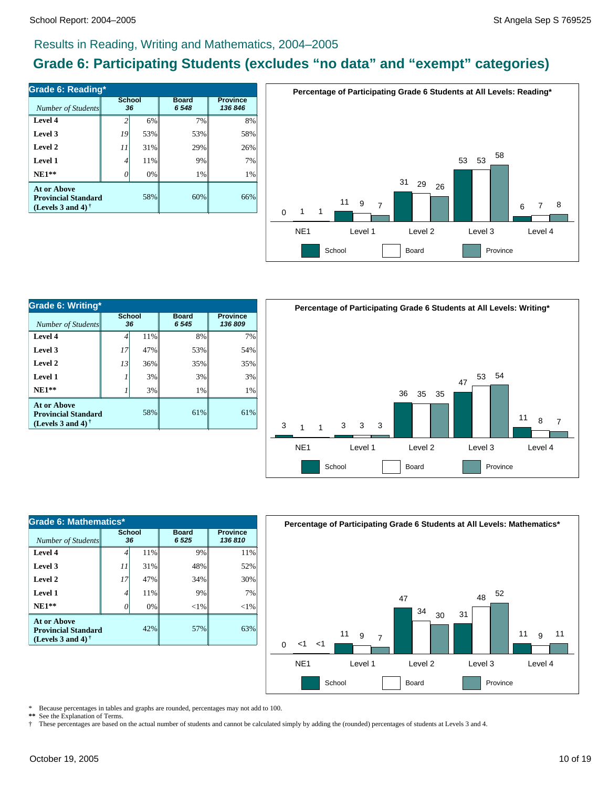# **Grade 6: Participating Students (excludes "no data" and "exempt" categories)**

| <b>Grade 6: Reading*</b>                                                                             |                     |     |                         |                            |  |  |  |
|------------------------------------------------------------------------------------------------------|---------------------|-----|-------------------------|----------------------------|--|--|--|
| Number of Students                                                                                   | <b>School</b><br>36 |     | <b>Board</b><br>6 5 4 8 | <b>Province</b><br>136 846 |  |  |  |
| Level 4                                                                                              |                     | 6%  | 7%                      | 8%                         |  |  |  |
| Level 3                                                                                              | 19                  | 53% | 53%                     | 58%                        |  |  |  |
| Level 2                                                                                              | 11                  | 31% | 29%                     | 26%                        |  |  |  |
| Level 1                                                                                              | 4                   | 11% | 9%                      | 7%                         |  |  |  |
| $NE1**$                                                                                              |                     | 0%  | 1%                      | 1%                         |  |  |  |
| <b>At or Above</b><br><b>Provincial Standard</b><br>(Levels 3 and 4) <sup><math>\dagger</math></sup> |                     | 58% | 60%                     | 66%                        |  |  |  |



| Grade 6: Writing*                                                                                    |                     |     |                         |                            |  |  |  |  |
|------------------------------------------------------------------------------------------------------|---------------------|-----|-------------------------|----------------------------|--|--|--|--|
| Number of Students                                                                                   | <b>School</b><br>36 |     | <b>Board</b><br>6 5 4 5 | <b>Province</b><br>136 809 |  |  |  |  |
| Level 4                                                                                              | 4                   | 11% | 8%                      | 7%                         |  |  |  |  |
| Level 3                                                                                              | 17                  | 47% | 53%                     | 54%                        |  |  |  |  |
| Level 2                                                                                              | 13                  | 36% | 35%                     | 35%                        |  |  |  |  |
| Level 1                                                                                              |                     | 3%  | 3%                      | 3%                         |  |  |  |  |
| $NE1**$                                                                                              |                     | 3%  | 1%                      | 1%                         |  |  |  |  |
| <b>At or Above</b><br><b>Provincial Standard</b><br>(Levels 3 and 4) <sup><math>\dagger</math></sup> |                     | 58% | 61%                     | 61%                        |  |  |  |  |



| Grade 6: Mathematics*                                                                                |              |     |                        |                            |  |  |  |  |
|------------------------------------------------------------------------------------------------------|--------------|-----|------------------------|----------------------------|--|--|--|--|
| Number of Students                                                                                   | School<br>36 |     | <b>Board</b><br>6 5 25 | <b>Province</b><br>136 810 |  |  |  |  |
| Level 4                                                                                              |              | 11% | 9%                     | 11%                        |  |  |  |  |
| Level 3                                                                                              | 11           | 31% | 48%                    | 52%                        |  |  |  |  |
| Level 2                                                                                              | 17           | 47% | 34%                    | 30%                        |  |  |  |  |
| Level 1                                                                                              | 4            | 11% | 9%                     | 7%                         |  |  |  |  |
| $NE1**$                                                                                              |              | 0%  | $<$ 1%                 | $<$ 1%                     |  |  |  |  |
| <b>At or Above</b><br><b>Provincial Standard</b><br>(Levels 3 and 4) <sup><math>\dagger</math></sup> |              | 42% | 57%                    | 63%                        |  |  |  |  |



Because percentages in tables and graphs are rounded, percentages may not add to 100.

**\*\*** See the Explanation of Terms.

† These percentages are based on the actual number of students and cannot be calculated simply by adding the (rounded) percentages of students at Levels 3 and 4.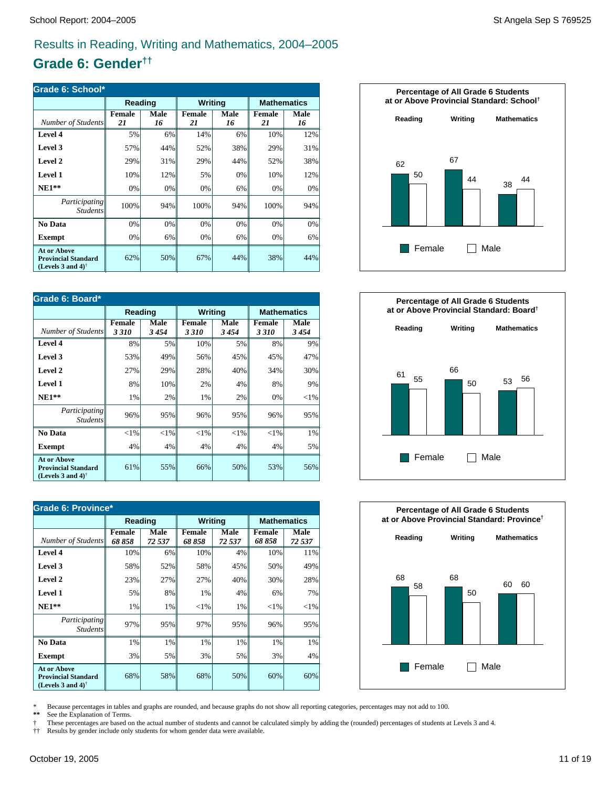# **Grade 6: Gender††**

| Grade 6: School*                                                                                     |                     |            |                     |            |                     |            |
|------------------------------------------------------------------------------------------------------|---------------------|------------|---------------------|------------|---------------------|------------|
|                                                                                                      | Reading             |            | <b>Writing</b>      |            | <b>Mathematics</b>  |            |
| Number of Students                                                                                   | <b>Female</b><br>21 | Male<br>16 | <b>Female</b><br>21 | Male<br>16 | <b>Female</b><br>21 | Male<br>16 |
| Level 4                                                                                              | 5%                  | 6%         | 14%                 | 6%         | 10%                 | 12%        |
| Level 3                                                                                              | 57%                 | 44%        | 52%                 | 38%        | 29%                 | 31%        |
| Level 2                                                                                              | 29%                 | 31%        | 29%                 | 44%        | 52%                 | 38%        |
| Level 1                                                                                              | 10%                 | 12%        | 5%                  | 0%         | 10%                 | 12%        |
| $NE1**$                                                                                              | 0%                  | 0%         | 0%                  | 6%         | 0%                  | 0%         |
| <i>Participating</i><br><i>Students</i>                                                              | 100%                | 94%        | 100%                | 94%        | 100%                | 94%        |
| No Data                                                                                              | 0%                  | 0%         | 0%                  | 0%         | 0%                  | 0%         |
| <b>Exempt</b>                                                                                        | 0%                  | 6%         | 0%                  | 6%         | 0%                  | 6%         |
| <b>At or Above</b><br><b>Provincial Standard</b><br>(Levels 3 and 4) <sup><math>\dagger</math></sup> | 62%                 | 50%        | 67%                 | 44%        | 38%                 | 44%        |

| Grade 6: Board*                                                                |                |              |                       |              |                    |              |
|--------------------------------------------------------------------------------|----------------|--------------|-----------------------|--------------|--------------------|--------------|
|                                                                                | Reading        |              | <b>Writing</b>        |              | <b>Mathematics</b> |              |
| Number of Students                                                             | Female<br>3310 | Male<br>3454 | <b>Female</b><br>3310 | Male<br>3454 | Female<br>3310     | Male<br>3454 |
| Level 4                                                                        | 8%             | 5%           | 10%                   | 5%           | 8%                 | 9%           |
| Level 3                                                                        | 53%            | 49%          | 56%                   | 45%          | 45%                | 47%          |
| Level 2                                                                        | 27%            | 29%          | 28%                   | 40%          | 34%                | 30%          |
| Level 1                                                                        | 8%             | 10%          | 2%                    | 4%           | 8%                 | 9%           |
| $NE1**$                                                                        | 1%             | 2%           | 1%                    | 2%           | 0%                 | ${<}1\%$     |
| Participating<br><b>Students</b>                                               | 96%            | 95%          | 96%                   | 95%          | 96%                | 95%          |
| No Data                                                                        | ${<}1\%$       | $<$ 1%       | ${<}1\%$              | $<$ 1%       | ${<}1\%$           | 1%           |
| <b>Exempt</b>                                                                  | 4%             | 4%           | 4%                    | 4%           | 4%                 | 5%           |
| <b>At or Above</b><br><b>Provincial Standard</b><br>(Levels 3 and 4) $\dagger$ | 61%            | 55%          | 66%                   | 50%          | 53%                | 56%          |

| Grade 6: Province*                                                                                   |                 |                |                        |                       |                 |                    |
|------------------------------------------------------------------------------------------------------|-----------------|----------------|------------------------|-----------------------|-----------------|--------------------|
|                                                                                                      | Reading         |                |                        | <b>Writing</b>        |                 | <b>Mathematics</b> |
| Number of Students                                                                                   | Female<br>68858 | Male<br>72 537 | <b>Female</b><br>68858 | <b>Male</b><br>72 537 | Female<br>68858 | Male<br>72 537     |
| Level 4                                                                                              | 10%             | 6%             | 10%                    | 4%                    | 10%             | 11%                |
| Level 3                                                                                              | 58%             | 52%            | 58%                    | 45%                   | 50%             | 49%                |
| Level 2                                                                                              | 23%             | 27%            | 27%                    | 40%                   | 30%             | 28%                |
| <b>Level 1</b>                                                                                       | 5%              | 8%             | 1%                     | 4%                    | 6%              | 7%                 |
| $NE1**$                                                                                              | 1%              | 1%             | ${<}1\%$               | 1%                    | ${<}1\%$        | $<$ 1%             |
| <i>Participating</i><br><b>Students</b>                                                              | 97%             | 95%            | 97%                    | 95%                   | 96%             | 95%                |
| No Data                                                                                              | 1%              | 1%             | 1%                     | 1%                    | 1%              | 1%                 |
| Exempt                                                                                               | 3%              | 5%             | 3%                     | 5%                    | 3%              | 4%                 |
| <b>At or Above</b><br><b>Provincial Standard</b><br>(Levels 3 and 4) <sup><math>\dagger</math></sup> | 68%             | 58%            | 68%                    | 50%                   | 60%             | 60%                |







\* Because percentages in tables and graphs are rounded, and because graphs do not show all reporting categories, percentages may not add to 100.<br>\*\* See the Explanation of Terms.

See the Explanation of Terms.

† These percentages are based on the actual number of students and cannot be calculated simply by adding the (rounded) percentages of students at Levels 3 and 4.

†† Results by gender include only students for whom gender data were available.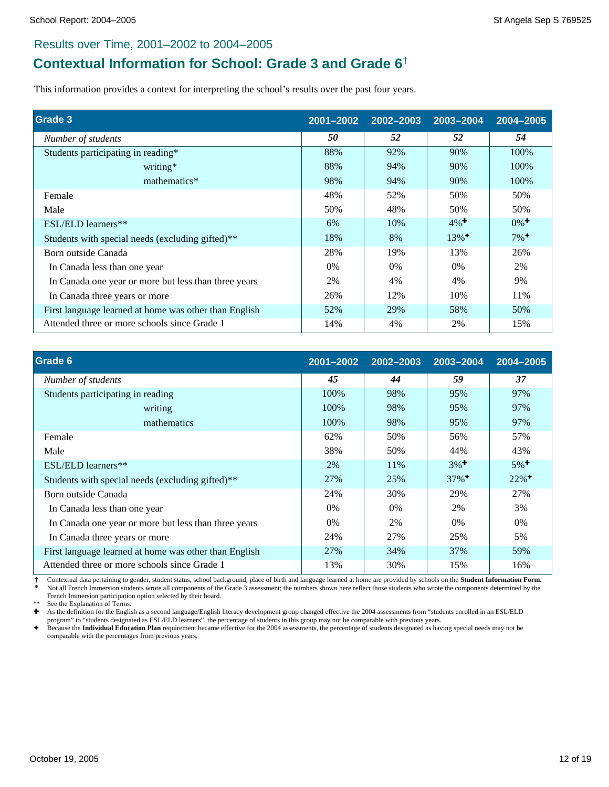# **Contextual Information for School: Grade 3 and Grade 6†**

This information provides a context for interpreting the school's results over the past four years.

| Grade 3                                               | 2001-2002 | 2002-2003 | 2003-2004           | 2004-2005          |
|-------------------------------------------------------|-----------|-----------|---------------------|--------------------|
| Number of students                                    | 50        | 52        | 52                  | 54                 |
| Students participating in reading*                    | 88%       | 92%       | 90%                 | 100%               |
| writing*                                              | 88%       | 94%       | 90%                 | 100%               |
| mathematics*                                          | 98%       | 94%       | 90%                 | 100%               |
| Female                                                | 48%       | 52%       | 50%                 | 50%                |
| Male                                                  | 50%       | 48%       | 50%                 | 50%                |
| ESL/ELD learners**                                    | 6%        | 10%       | $4\%$ <sup>+</sup>  | $0\%$ <sup>+</sup> |
| Students with special needs (excluding gifted)**      | 18%       | 8%        | $13\%$ <sup>+</sup> | $7\%$ <sup>+</sup> |
| Born outside Canada                                   | 28%       | 19%       | 13%                 | 26%                |
| In Canada less than one year                          | 0%        | $0\%$     | $0\%$               | 2%                 |
| In Canada one year or more but less than three years  | 2%        | 4%        | 4%                  | 9%                 |
| In Canada three years or more                         | 26%       | 12%       | 10%                 | 11%                |
| First language learned at home was other than English | 52%       | 29%       | 58%                 | 50%                |
| Attended three or more schools since Grade 1          | 14%       | 4%        | 2%                  | 15%                |

| Grade 6                                               | 2001-2002 | 2002-2003 | 2003-2004           | 2004-2005           |
|-------------------------------------------------------|-----------|-----------|---------------------|---------------------|
| Number of students                                    | 45        | 44        | 59                  | 37                  |
| Students participating in reading                     | 100%      | 98%       | 95%                 | 97%                 |
| writing                                               | 100%      | 98%       | 95%                 | 97%                 |
| mathematics                                           | 100%      | 98%       | 95%                 | 97%                 |
| Female                                                | 62%       | 50%       | 56%                 | 57%                 |
| Male                                                  | 38%       | 50%       | 44%                 | 43%                 |
| ESL/ELD learners**                                    | 2%        | 11%       | $3\%$ <sup>+</sup>  | $5\%$ <sup>+</sup>  |
| Students with special needs (excluding gifted)**      | 27%       | 25%       | $37\%$ <sup>+</sup> | $22\%$ <sup>+</sup> |
| Born outside Canada                                   | 24%       | 30%       | 29%                 | 27%                 |
| In Canada less than one year                          | $0\%$     | $0\%$     | 2%                  | 3%                  |
| In Canada one year or more but less than three years  | $0\%$     | 2%        | $0\%$               | $0\%$               |
| In Canada three years or more                         | 24%       | 27%       | 25%                 | 5%                  |
| First language learned at home was other than English | 27%       | 34%       | 37%                 | 59%                 |
| Attended three or more schools since Grade 1          | 13%       | 30%       | 15%                 | 16%                 |

Contextual data pertaining to gender, student status, school background, place of birth and language learned at home are provided by schools on the **Student Information Form.** Not all French Immersion students wrote all components of the Grade 3 assessment; the numbers shown here reflect those students who wrote the components determined by the French Immersion participation option selected by their board.

See the Explanation of Terms.

Ì As the definition for the English as a second language/English literacy development group changed effective the 2004 assessments from "students enrolled in an ESL/ELD program" to "students designated as ESL/ELD learners", the percentage of students in this group may not be comparable with previous years.

è Because the **Individual Education Plan** requirement became effective for the 2004 assessments, the percentage of students designated as having special needs may not be comparable with the percentages from previous years.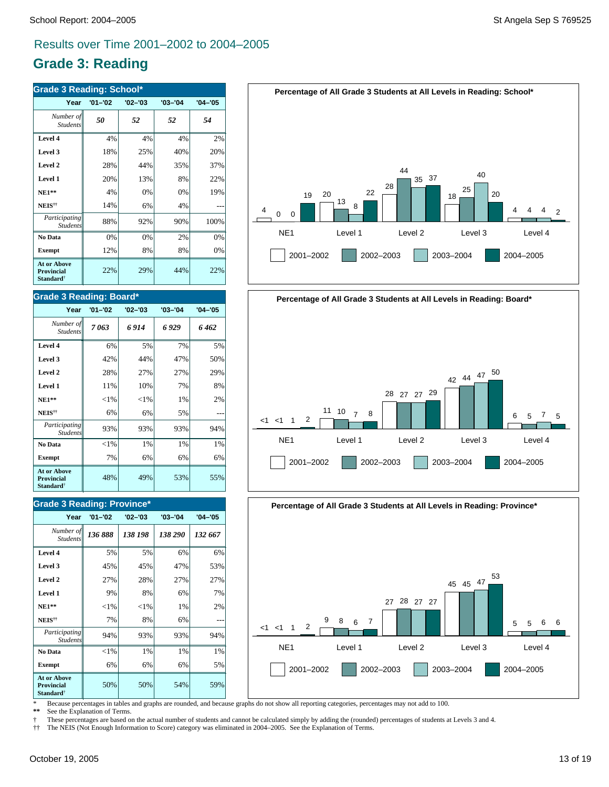# **Grade 3: Reading**

| <b>Grade 3 Reading: School*</b>                                         |             |             |             |             |  |  |  |
|-------------------------------------------------------------------------|-------------|-------------|-------------|-------------|--|--|--|
| Year                                                                    | $'01 - '02$ | $'02 - '03$ | $'03 - '04$ | $'04 - '05$ |  |  |  |
| Number of<br><b>Students</b>                                            | 50          | 52          | 52          | 54          |  |  |  |
| Level 4                                                                 | 4%          | 4%          | 4%          | 2%          |  |  |  |
| Level 3                                                                 | 18%         | 25%         | 40%         | 20%         |  |  |  |
| Level 2                                                                 | 28%         | 44%         | 35%         | 37%         |  |  |  |
| Level 1                                                                 | 20%         | 13%         | 8%          | 22%         |  |  |  |
| <b>NE1**</b>                                                            | 4%          | 0%          | 0%          | 19%         |  |  |  |
| NEIS <sup>††</sup>                                                      | 14%         | 6%          | 4%          |             |  |  |  |
| Participating<br><b>Students</b>                                        | 88%         | 92%         | 90%         | 100%        |  |  |  |
| No Data                                                                 | 0%          | 0%          | 2%          | 0%          |  |  |  |
| <b>Exempt</b>                                                           | 12%         | 8%          | 8%          | 0%          |  |  |  |
| <b>At or Above</b><br><b>Provincial</b><br><b>Standard</b> <sup>†</sup> | 22%         | 29%         | 44%         | 22%         |  |  |  |

#### **Grade 3 Reading: Board\***

| Year                                                             | $'01 - '02$ | $'02 - '03$ | $'03 - '04$ | $'04 - '05$ |
|------------------------------------------------------------------|-------------|-------------|-------------|-------------|
| Number of<br><b>Students</b>                                     | 7063        | 6 9 1 4     | 6 929       | 6 462       |
| Level 4                                                          | 6%          | 5%          | 7%          | 5%          |
| Level 3                                                          | 42%         | 44%         | 47%         | 50%         |
| Level 2                                                          | 28%         | 27%         | 27%         | 29%         |
| Level 1                                                          | 11%         | 10%         | 7%          | 8%          |
| $NE1**$                                                          | ${<}1\%$    | ${<}1\%$    | 1%          | 2%          |
| NEIS <sup>††</sup>                                               | 6%          | 6%          | 5%          |             |
| Participating<br><b>Students</b>                                 | 93%         | 93%         | 93%         | 94%         |
| No Data                                                          | ${<}1\%$    | 1%          | 1%          | $1\%$       |
| <b>Exempt</b>                                                    | 7%          | 6%          | 6%          | 6%          |
| <b>At or Above</b><br>Provincial<br><b>Standard</b> <sup>†</sup> | 48%         | 49%         | 53%         | 55%         |

#### **Grade 3 Reading: Province\***

| Year                                                                    | $'01 - '02$ | $'02 - '03$ | $'03 - '04$ | $'04 - '05$ |
|-------------------------------------------------------------------------|-------------|-------------|-------------|-------------|
| Number of<br><b>Students</b>                                            | 136888      | 138 198     | 138 290     | 132 667     |
| Level 4                                                                 | 5%          | 5%          | 6%          | 6%          |
| Level 3                                                                 | 45%         | 45%         | 47%         | 53%         |
| Level 2                                                                 | 27%         | 28%         | 27%         | 27%         |
| Level 1                                                                 | 9%          | 8%          | 6%          | 7%          |
| $NE1**$                                                                 | ${<}1\%$    | ${<}1\%$    | 1%          | 2%          |
| NEIS <sup>††</sup>                                                      | 7%          | 8%          | 6%          |             |
| Participating<br><b>Students</b>                                        | 94%         | 93%         | 93%         | 94%         |
| No Data                                                                 | ${<}1\%$    | 1%          | 1%          | 1%          |
| <b>Exempt</b>                                                           | 6%          | 6%          | 6%          | 5%          |
| <b>At or Above</b><br><b>Provincial</b><br><b>Standard</b> <sup>†</sup> | 50%         | 50%         | 54%         | 59%         |







\* Because percentages in tables and graphs are rounded, and because graphs do not show all reporting categories, percentages may not add to 100.

See the Explanation of Terms.

† These percentages are based on the actual number of students and cannot be calculated simply by adding the (rounded) percentages of students at Levels 3 and 4.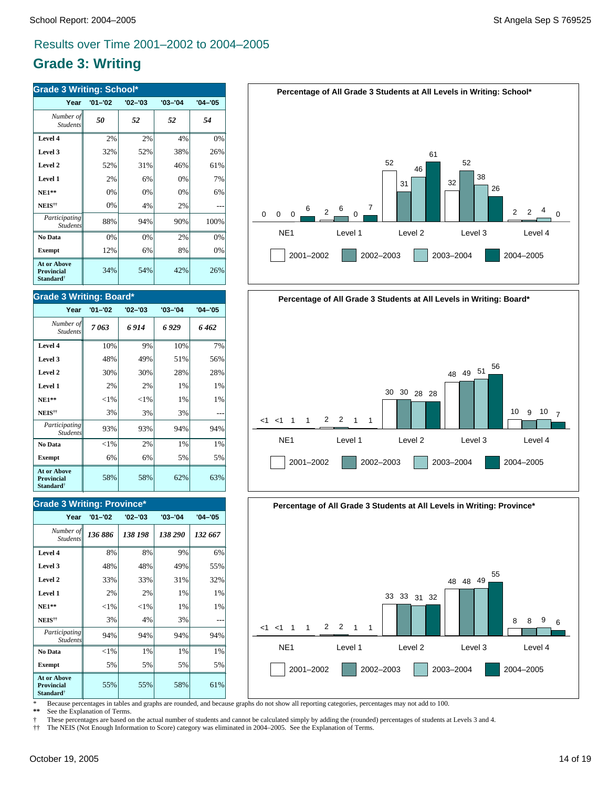# **Grade 3: Writing**

| <b>Grade 3 Writing: School*</b>                                  |             |             |             |             |
|------------------------------------------------------------------|-------------|-------------|-------------|-------------|
| Year                                                             | $'01 - '02$ | $'02 - '03$ | $'03 - '04$ | $'04 - '05$ |
| Number of<br><b>Students</b>                                     | 50          | 52          | 52          | 54          |
| Level 4                                                          | 2%          | 2%          | 4%          | 0%          |
| Level 3                                                          | 32%         | 52%         | 38%         | 26%         |
| Level 2                                                          | 52%         | 31%         | 46%         | 61%         |
| Level 1                                                          | 2%          | 6%          | 0%          | 7%          |
| $NE1**$                                                          | 0%          | 0%          | 0%          | 6%          |
| NEIS <sup>††</sup>                                               | 0%          | 4%          | 2%          |             |
| Participating<br><b>Students</b>                                 | 88%         | 94%         | 90%         | 100%        |
| No Data                                                          | 0%          | 0%          | 2%          | 0%          |
| <b>Exempt</b>                                                    | 12%         | 6%          | 8%          | 0%          |
| <b>At or Above</b><br>Provincial<br><b>Standard</b> <sup>†</sup> | 34%         | 54%         | 42%         | 26%         |

#### **Grade 3 Writing: Board\***

| Year                                                             | $'01 - '02$ | $'02 - '03$ | $'03 - '04$ | $'04 - '05$ |
|------------------------------------------------------------------|-------------|-------------|-------------|-------------|
| Number of<br><b>Students</b>                                     | 7063        | 6 9 1 4     | 6 929       | 6462        |
| Level 4                                                          | 10%         | 9%          | 10%         | 7%          |
| Level 3                                                          | 48%         | 49%         | 51%         | 56%         |
| Level 2                                                          | 30%         | 30%         | 28%         | 28%         |
| Level 1                                                          | 2%          | 2%          | 1%          | 1%          |
| $NE1**$                                                          | ${<}1\%$    | ${<}1\%$    | 1%          | 1%          |
| NEIS <sup>††</sup>                                               | 3%          | 3%          | 3%          |             |
| Participating<br><b>Students</b>                                 | 93%         | 93%         | 94%         | 94%         |
| No Data                                                          | ${<}1\%$    | 2%          | 1%          | 1%          |
| <b>Exempt</b>                                                    | 6%          | 6%          | 5%          | 5%          |
| <b>At or Above</b><br>Provincial<br><b>Standard</b> <sup>†</sup> | 58%         | 58%         | 62%         | 63%         |

#### **Grade 3 Writing: Province\***

| Year                                                                    | $'01 - '02$ | $'02 - '03$ | $'03 - '04$ | $'04 - '05$ |
|-------------------------------------------------------------------------|-------------|-------------|-------------|-------------|
| Number of<br><b>Students</b>                                            | 136886      | 138 198     | 138 290     | 132 667     |
| Level 4                                                                 | 8%          | 8%          | 9%          | 6%          |
| Level 3                                                                 | 48%         | 48%         | 49%         | 55%         |
| Level 2                                                                 | 33%         | 33%         | 31%         | 32%         |
| Level 1                                                                 | 2%          | 2%          | 1%          | 1%          |
| $NE1**$                                                                 | ${<}1\%$    | ${<}1\%$    | 1%          | 1%          |
| NEIS <sup>††</sup>                                                      | 3%          | 4%          | 3%          |             |
| Participating<br><b>Students</b>                                        | 94%         | 94%         | 94%         | 94%         |
| No Data                                                                 | ${<}1\%$    | 1%          | 1%          | 1%          |
| <b>Exempt</b>                                                           | 5%          | 5%          | 5%          | 5%          |
| <b>At or Above</b><br><b>Provincial</b><br><b>Standard</b> <sup>†</sup> | 55%         | 55%         | 58%         | 61%         |







\* Because percentages in tables and graphs are rounded, and because graphs do not show all reporting categories, percentages may not add to 100.

See the Explanation of Terms.

† These percentages are based on the actual number of students and cannot be calculated simply by adding the (rounded) percentages of students at Levels 3 and 4.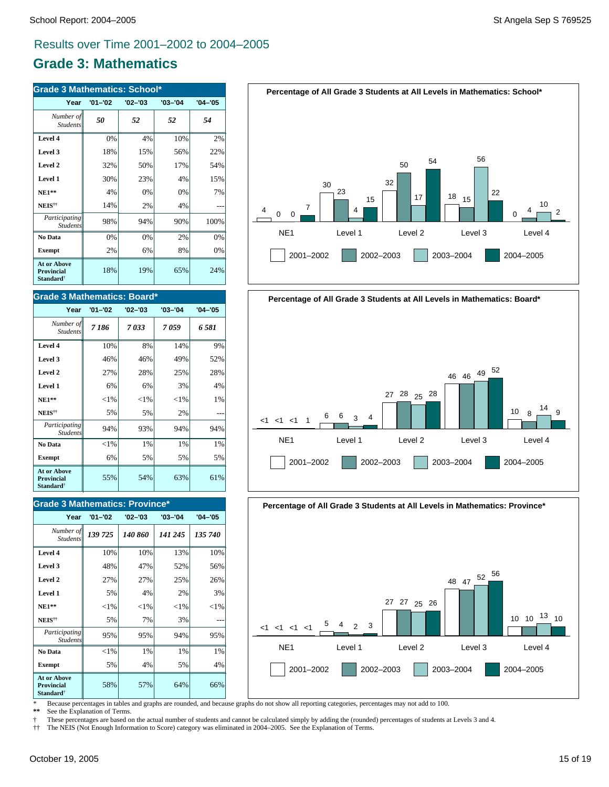# **Grade 3: Mathematics**

| <b>Grade 3 Mathematics: School*</b>                                     |             |             |             |             |  |
|-------------------------------------------------------------------------|-------------|-------------|-------------|-------------|--|
| Year                                                                    | $'01 - '02$ | $'02 - '03$ | $'03 - '04$ | $'04 - '05$ |  |
| Number of<br><b>Students</b>                                            | 50          | 52          | 52          | 54          |  |
| Level 4                                                                 | 0%          | 4%          | 10%         | 2%          |  |
| Level 3                                                                 | 18%         | 15%         | 56%         | 22%         |  |
| Level 2                                                                 | 32%         | 50%         | 17%         | 54%         |  |
| Level 1                                                                 | 30%         | 23%         | 4%          | 15%         |  |
| $NE1**$                                                                 | 4%          | 0%          | 0%          | 7%          |  |
| NEIS <sup>††</sup>                                                      | 14%         | 2%          | 4%          |             |  |
| Participating<br><b>Students</b>                                        | 98%         | 94%         | 90%         | 100%        |  |
| No Data                                                                 | 0%          | 0%          | 2%          | 0%          |  |
| <b>Exempt</b>                                                           | 2%          | 6%          | 8%          | 0%          |  |
| <b>At or Above</b><br><b>Provincial</b><br><b>Standard</b> <sup>†</sup> | 18%         | 19%         | 65%         | 24%         |  |

#### **Grade 3 Mathematics: Board\***

| Year                                                             | $'01 - '02$ | $'02 - '03$ | $'03 - '04$ | $'04 - '05$ |
|------------------------------------------------------------------|-------------|-------------|-------------|-------------|
| Number of<br><b>Students</b>                                     | 7 186       | 7033        | 7059        | 6581        |
| Level 4                                                          | 10%         | 8%          | 14%         | 9%          |
| Level 3                                                          | 46%         | 46%         | 49%         | 52%         |
| Level 2                                                          | 27%         | 28%         | 25%         | 28%         |
| Level 1                                                          | 6%          | 6%          | 3%          | 4%          |
| $NE1**$                                                          | ${<}1\%$    | ${<}1\%$    | ${<}1\%$    | 1%          |
| NEIS <sup>††</sup>                                               | 5%          | 5%          | 2%          |             |
| Participating<br><b>Students</b>                                 | 94%         | 93%         | 94%         | 94%         |
| No Data                                                          | ${<}1\%$    | 1%          | 1%          | 1%          |
| Exempt                                                           | 6%          | 5%          | 5%          | 5%          |
| At or Above<br><b>Provincial</b><br><b>Standard</b> <sup>†</sup> | 55%         | 54%         | 63%         | 61%         |

### **Grade 3 Mathematics: Province\***

| Year                                                                    | $'01 - '02$ | $'02 - '03$ | $'03 - '04$ | $'04 - '05$ |
|-------------------------------------------------------------------------|-------------|-------------|-------------|-------------|
| Number of<br><b>Students</b>                                            | 139 725     | 140 860     | 141 245     | 135 740     |
| Level 4                                                                 | 10%         | 10%         | 13%         | 10%         |
| Level 3                                                                 | 48%         | 47%         | 52%         | 56%         |
| Level 2                                                                 | 27%         | 27%         | 25%         | 26%         |
| Level 1                                                                 | 5%          | 4%          | 2%          | 3%          |
| $NE1**$                                                                 | ${<}1\%$    | ${<}1\%$    | ${<}1\%$    | ${<}1\%$    |
| NEIS <sup>††</sup>                                                      | 5%          | 7%          | 3%          |             |
| <i>Participating</i><br><b>Students</b>                                 | 95%         | 95%         | 94%         | 95%         |
| No Data                                                                 | ${<}1\%$    | $1\%$       | 1%          | 1%          |
| <b>Exempt</b>                                                           | 5%          | 4%          | 5%          | 4%          |
| <b>At or Above</b><br><b>Provincial</b><br><b>Standard</b> <sup>†</sup> | 58%         | 57%         | 64%         | 66%         |







\* Because percentages in tables and graphs are rounded, and because graphs do not show all reporting categories, percentages may not add to 100.

See the Explanation of Terms.

† These percentages are based on the actual number of students and cannot be calculated simply by adding the (rounded) percentages of students at Levels 3 and 4.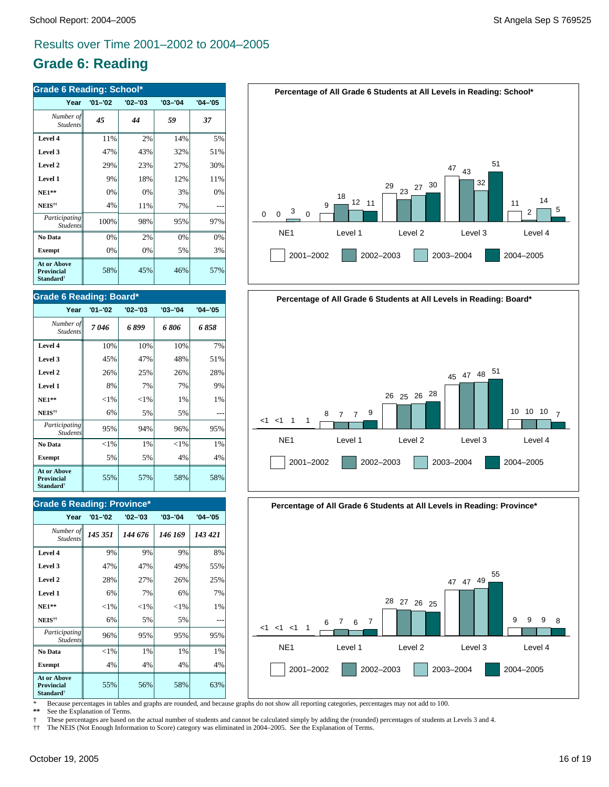# **Grade 6: Reading**

| <b>Grade 6 Reading: School*</b>                                         |             |             |             |             |  |
|-------------------------------------------------------------------------|-------------|-------------|-------------|-------------|--|
| Year                                                                    | $'01 - '02$ | $'02 - '03$ | $'03 - '04$ | $'04 - '05$ |  |
| Number of<br><b>Students</b>                                            | 45          | 44          | 59          | 37          |  |
| Level 4                                                                 | 11%         | 2%          | 14%         | 5%          |  |
| Level 3                                                                 | 47%         | 43%         | 32%         | 51%         |  |
| Level 2                                                                 | 29%         | 23%         | 27%         | 30%         |  |
| Level 1                                                                 | 9%          | 18%         | 12%         | 11%         |  |
| $NE1**$                                                                 | 0%          | 0%          | 3%          | 0%          |  |
| NEIS <sup>††</sup>                                                      | 4%          | 11%         | 7%          |             |  |
| Participating<br><b>Students</b>                                        | 100%        | 98%         | 95%         | 97%         |  |
| No Data                                                                 | 0%          | 2%          | 0%          | 0%          |  |
| <b>Exempt</b>                                                           | 0%          | 0%          | 5%          | 3%          |  |
| <b>At or Above</b><br><b>Provincial</b><br><b>Standard</b> <sup>†</sup> | 58%         | 45%         | 46%         | 57%         |  |

#### **Grade 6 Reading: Board\***

| Year                                                             | $'01 - '02$ | $'02 - '03$ | $'03 - '04$ | $'04 - '05$ |
|------------------------------------------------------------------|-------------|-------------|-------------|-------------|
| Number of<br><b>Students</b>                                     | 7046        | 6899        | 6 806       | 6 858       |
| Level 4                                                          | 10%         | 10%         | 10%         | 7%          |
| Level 3                                                          | 45%         | 47%         | 48%         | 51%         |
| Level 2                                                          | 26%         | 25%         | 26%         | 28%         |
| Level 1                                                          | 8%          | 7%          | 7%          | 9%          |
| $NE1**$                                                          | ${<}1\%$    | ${<}1\%$    | 1%          | 1%          |
| NEIS <sup>††</sup>                                               | 6%          | 5%          | 5%          |             |
| Participating<br><b>Students</b>                                 | 95%         | 94%         | 96%         | 95%         |
| No Data                                                          | ${<}1\%$    | 1%          | ${<}1\%$    | $1\%$       |
| Exempt                                                           | 5%          | 5%          | 4%          | 4%          |
| <b>At or Above</b><br>Provincial<br><b>Standard</b> <sup>†</sup> | 55%         | 57%         | 58%         | 58%         |

#### **Grade 6 Reading: Province\***

| Year                                                                    | $'01 - '02$ | $'02 - '03$ | $'03 - '04$ | $'04 - '05$ |  |
|-------------------------------------------------------------------------|-------------|-------------|-------------|-------------|--|
| Number of<br><b>Students</b>                                            | 145 351     | 144 676     | 146 169     | 143 421     |  |
| Level 4                                                                 | 9%          | 9%          | 9%          | 8%          |  |
| Level 3                                                                 | 47%         | 47%         | 49%         | 55%         |  |
| Level 2                                                                 | 28%         | 27%         | 26%         | 25%         |  |
| Level 1                                                                 | 6%          | 7%          | 6%          | 7%          |  |
| $NE1**$                                                                 | ${<}1\%$    | $<$ 1%      | ${<}1\%$    | 1%          |  |
| NEIS <sup>††</sup>                                                      | 6%          | 5%          | 5%          |             |  |
| Participating<br><b>Students</b>                                        | 96%         | 95%         | 95%         | 95%         |  |
| No Data                                                                 | ${<}1\%$    | 1%          | 1%          | 1%          |  |
| <b>Exempt</b>                                                           | 4%          | 4%          | 4%          | 4%          |  |
| <b>At or Above</b><br><b>Provincial</b><br><b>Standard</b> <sup>†</sup> | 55%         | 56%         | 58%         | 63%         |  |







Because percentages in tables and graphs are rounded, and because graphs do not show all reporting categories, percentages may not add to 100.

See the Explanation of Terms.

† These percentages are based on the actual number of students and cannot be calculated simply by adding the (rounded) percentages of students at Levels 3 and 4.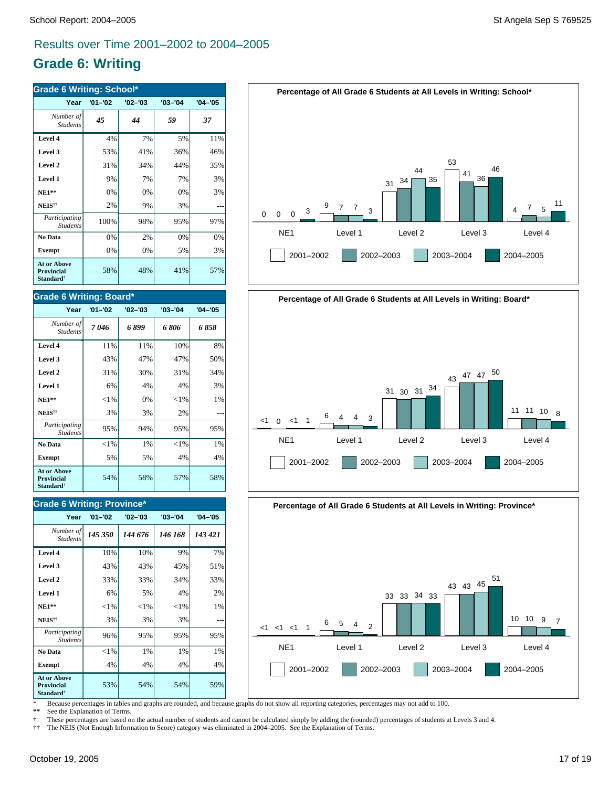# **Grade 6: Writing**

| <b>Grade 6 Writing: School*</b>                                  |             |             |             |             |  |
|------------------------------------------------------------------|-------------|-------------|-------------|-------------|--|
| Year                                                             | $'01 - '02$ | $'02 - '03$ | $'03 - '04$ | $'04 - '05$ |  |
| Number of<br><b>Students</b>                                     | 45          | 44          | 59          | 37          |  |
| Level 4                                                          | 4%          | 7%          | 5%          | 11%         |  |
| Level 3                                                          | 53%         | 41%         | 36%         | 46%         |  |
| Level 2                                                          | 31%         | 34%         | 44%         | 35%         |  |
| Level 1                                                          | 9%          | 7%          | 7%          | 3%          |  |
| $NE1**$                                                          | 0%          | 0%          | 0%          | 3%          |  |
| NEIS <sup>††</sup>                                               | 2%          | 9%          | 3%          |             |  |
| Participating<br><b>Students</b>                                 | 100%        | 98%         | 95%         | 97%         |  |
| No Data                                                          | 0%          | 2%          | 0%          | 0%          |  |
| <b>Exempt</b>                                                    | 0%          | 0%          | 5%          | 3%          |  |
| <b>At or Above</b><br>Provincial<br><b>Standard</b> <sup>†</sup> | 58%         | 48%         | 41%         | 57%         |  |

#### **Grade 6 Writing: Board\***

| Year                                                             | $'01 - '02$ | $'02 - '03$ | $'03 - '04$ | $'04 - '05$ |
|------------------------------------------------------------------|-------------|-------------|-------------|-------------|
| Number of<br><b>Students</b>                                     | 7046        | 6899        | 6 806       | 6 858       |
| Level 4                                                          | 11%         | 11%         | 10%         | 8%          |
| Level 3                                                          | 43%         | 47%         | 47%         | 50%         |
| Level 2                                                          | 31%         | 30%         | 31%         | 34%         |
| Level 1                                                          | 6%          | 4%          | 4%          | 3%          |
| $NE1**$                                                          | ${<}1\%$    | 0%          | ${<}1\%$    | 1%          |
| NEIS <sup>††</sup>                                               | 3%          | 3%          | 2%          |             |
| Participating<br><b>Students</b>                                 | 95%         | 94%         | 95%         | 95%         |
| No Data                                                          | ${<}1\%$    | $1\%$       | ${<}1\%$    | 1%          |
| <b>Exempt</b>                                                    | 5%          | 5%          | 4%          | 4%          |
| <b>At or Above</b><br>Provincial<br><b>Standard</b> <sup>†</sup> | 54%         | 58%         | 57%         | 58%         |

#### **Grade 6 Writing: Province\***

| Year                                                                    | $'01 - '02$ | $'02 - '03$ | $'03 - '04$ | $'04 - '05$ |
|-------------------------------------------------------------------------|-------------|-------------|-------------|-------------|
| Number of<br><b>Students</b>                                            | 145 350     | 144 676     | 146 168     | 143 421     |
| Level 4                                                                 | 10%         | 10%         | 9%          | 7%          |
| Level 3                                                                 | 43%         | 43%         | 45%         | 51%         |
| Level 2                                                                 | 33%         | 33%         | 34%         | 33%         |
| Level 1                                                                 | 6%          | 5%          | 4%          | 2%          |
| $NE1**$                                                                 | $<$ 1%      | ${<}1\%$    | ${<}1\%$    | 1%          |
| NEIS <sup>††</sup>                                                      | 3%          | 3%          | 3%          |             |
| Participating<br><b>Students</b>                                        | 96%         | 95%         | 95%         | 95%         |
| No Data                                                                 | ${<}1\%$    | 1%          | 1%          | 1%          |
| <b>Exempt</b>                                                           | 4%          | 4%          | 4%          | 4%          |
| <b>At or Above</b><br><b>Provincial</b><br><b>Standard</b> <sup>†</sup> | 53%         | 54%         | 54%         | 59%         |







\* Because percentages in tables and graphs are rounded, and because graphs do not show all reporting categories, percentages may not add to 100.

See the Explanation of Terms.

† These percentages are based on the actual number of students and cannot be calculated simply by adding the (rounded) percentages of students at Levels 3 and 4.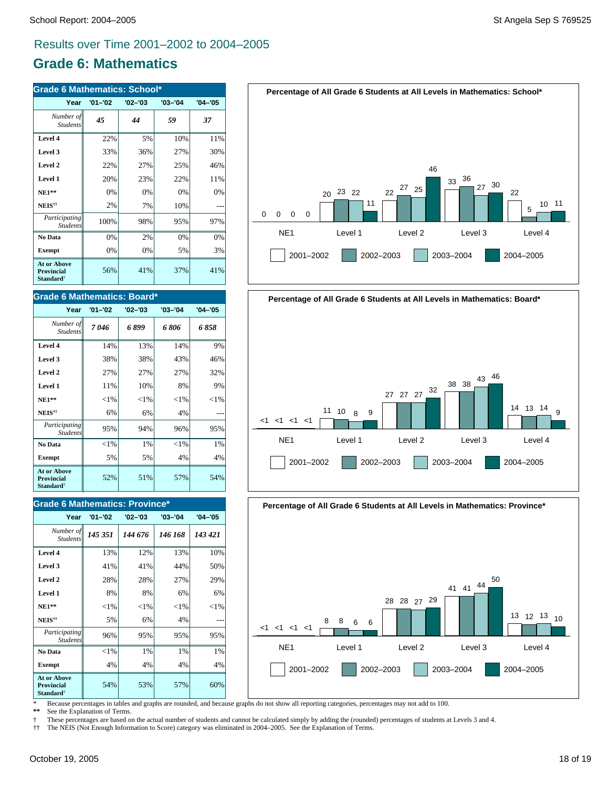### **Grade 6: Mathematics**

| <b>Grade 6 Mathematics: School*</b>                              |             |             |             |             |
|------------------------------------------------------------------|-------------|-------------|-------------|-------------|
| Year                                                             | $'01 - '02$ | $'02 - '03$ | $'03 - '04$ | $'04 - '05$ |
| Number of<br><b>Students</b>                                     | 45          | 44          | 59          | 37          |
| Level 4                                                          | 22%         | 5%          | 10%         | 11%         |
| Level 3                                                          | 33%         | 36%         | 27%         | 30%         |
| Level 2                                                          | 22%         | 27%         | 25%         | 46%         |
| Level 1                                                          | 20%         | 23%         | 22%         | 11%         |
| $NE1**$                                                          | 0%          | 0%          | 0%          | 0%          |
| NEIS <sup>††</sup>                                               | 2%          | 7%          | 10%         |             |
| Participating<br><b>Students</b>                                 | 100%        | 98%         | 95%         | 97%         |
| No Data                                                          | 0%          | 2%          | 0%          | 0%          |
| <b>Exempt</b>                                                    | 0%          | 0%          | 5%          | 3%          |
| <b>At or Above</b><br>Provincial<br><b>Standard</b> <sup>†</sup> | 56%         | 41%         | 37%         | 41%         |

#### **Grade 6 Mathematics: Board\***

| Year                                                                    | $'01 - '02$ | $'02 - '03$ | $'03 - '04$ | $'04 - '05$ |
|-------------------------------------------------------------------------|-------------|-------------|-------------|-------------|
| Number of<br><b>Students</b>                                            | 7046        | 6 899       | 6806        | 6 858       |
| Level 4                                                                 | 14%         | 13%         | 14%         | 9%          |
| Level 3                                                                 | 38%         | 38%         | 43%         | 46%         |
| Level 2                                                                 | 27%         | 27%         | 27%         | 32%         |
| Level 1                                                                 | 11%         | 10%         | 8%          | 9%          |
| $NE1**$                                                                 | ${<}1\%$    | ${<}1\%$    | ${<}1\%$    | ${<}1\%$    |
| NEIS <sup>††</sup>                                                      | 6%          | 6%          | 4%          |             |
| Participating<br><b>Students</b>                                        | 95%         | 94%         | 96%         | 95%         |
| No Data                                                                 | ${<}1\%$    | 1%          | ${<}1\%$    | $1\%$       |
| <b>Exempt</b>                                                           | 5%          | 5%          | 4%          | 4%          |
| <b>At or Above</b><br><b>Provincial</b><br><b>Standard</b> <sup>†</sup> | 52%         | 51%         | 57%         | 54%         |

#### **Grade 6 Mathematics: Province\***

| Year                                                                    | $'01 - '02$ | $'02 - '03$ | $'03 - '04$ | $'04 - '05$ |
|-------------------------------------------------------------------------|-------------|-------------|-------------|-------------|
| Number of<br><b>Students</b>                                            | 145 351     | 144 676     | 146 168     | 143 421     |
| Level 4                                                                 | 13%         | 12%         | 13%         | 10%         |
| Level 3                                                                 | 41%         | 41%         | 44%         | 50%         |
| Level 2                                                                 | 28%         | 28%         | 27%         | 29%         |
| Level 1                                                                 | 8%          | 8%          | 6%          | 6%          |
| $NE1**$                                                                 | ${<}1\%$    | ${<}1\%$    | ${<}1\%$    | ${<}1\%$    |
| NEIS <sup>††</sup>                                                      | 5%          | 6%          | 4%          |             |
| Participating<br><b>Students</b>                                        | 96%         | 95%         | 95%         | 95%         |
| No Data                                                                 | ${<}1\%$    | 1%          | 1%          | 1%          |
| <b>Exempt</b>                                                           | 4%          | 4%          | 4%          | 4%          |
| <b>At or Above</b><br><b>Provincial</b><br><b>Standard</b> <sup>†</sup> | 54%         | 53%         | 57%         | 60%         |







\* Because percentages in tables and graphs are rounded, and because graphs do not show all reporting categories, percentages may not add to 100.

See the Explanation of Terms.

† These percentages are based on the actual number of students and cannot be calculated simply by adding the (rounded) percentages of students at Levels 3 and 4.